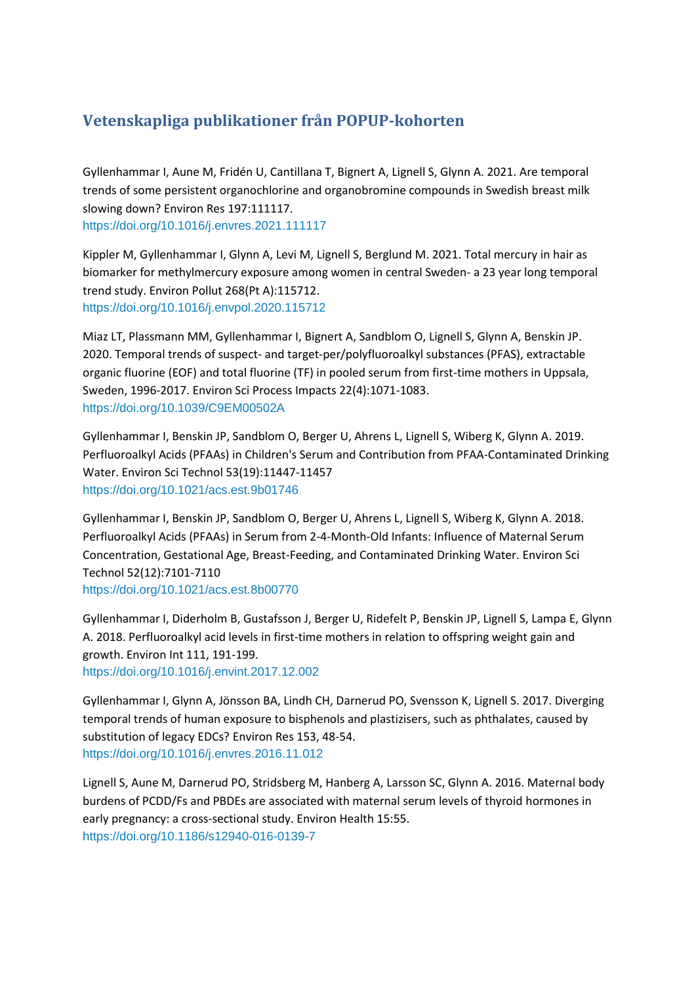## **Vetenskapliga publikationer från POPUP-kohorten**

Gyllenhammar I, Aune M, Fridén U, Cantillana T, Bignert A, Lignell S, Glynn A. 2021. Are temporal trends of some persistent organochlorine and organobromine compounds in Swedish breast milk slowing down? Environ Res 197:111117. <https://doi.org/10.1016/j.envres.2021.111117>

Kippler M, Gyllenhammar I, Glynn A, Levi M, Lignell S, Berglund M. 2021. Total mercury in hair as biomarker for methylmercury exposure among women in central Sweden- a 23 year long temporal trend study. Environ Pollut 268(Pt A):115712. <https://doi.org/10.1016/j.envpol.2020.115712>

Miaz LT, Plassmann MM, Gyllenhammar I, Bignert A, Sandblom O, Lignell S, Glynn A, Benskin JP. 2020. Temporal trends of suspect- and target-per/polyfluoroalkyl substances (PFAS), extractable organic fluorine (EOF) and total fluorine (TF) in pooled serum from first-time mothers in Uppsala, Sweden, 1996-2017. Environ Sci Process Impacts 22(4):1071-1083. <https://doi.org/10.1039/C9EM00502A>

Gyllenhammar I, Benskin JP, Sandblom O, Berger U, Ahrens L, Lignell S, Wiberg K, Glynn A. 2019. Perfluoroalkyl Acids (PFAAs) in Children's Serum and Contribution from PFAA-Contaminated Drinking Water. Environ Sci Technol 53(19):11447-11457 <https://doi.org/10.1021/acs.est.9b01746>

Gyllenhammar I, Benskin JP, Sandblom O, Berger U, Ahrens L, Lignell S, Wiberg K, Glynn A. 2018. Perfluoroalkyl Acids (PFAAs) in Serum from 2-4-Month-Old Infants: Influence of Maternal Serum Concentration, Gestational Age, Breast-Feeding, and Contaminated Drinking Water. Environ Sci Technol 52(12):7101-7110

<https://doi.org/10.1021/acs.est.8b00770>

Gyllenhammar I, Diderholm B, Gustafsson J, Berger U, Ridefelt P, Benskin JP, Lignell S, Lampa E, Glynn A. 2018. Perfluoroalkyl acid levels in first-time mothers in relation to offspring weight gain and growth. Environ Int 111, 191-199. <https://doi.org/10.1016/j.envint.2017.12.002>

Gyllenhammar I, Glynn A, Jönsson BA, Lindh CH, Darnerud PO, Svensson K, Lignell S. 2017. Diverging temporal trends of human exposure to bisphenols and plastizisers, such as phthalates, caused by substitution of legacy EDCs? Environ Res 153, 48-54. <https://doi.org/10.1016/j.envres.2016.11.012>

Lignell S, Aune M, Darnerud PO, Stridsberg M, Hanberg A, Larsson SC, Glynn A. 2016. Maternal body burdens of PCDD/Fs and PBDEs are associated with maternal serum levels of thyroid hormones in early pregnancy: a cross-sectional study. Environ Health 15:55. https://doi.org/10.1186/s12940-016-0139-7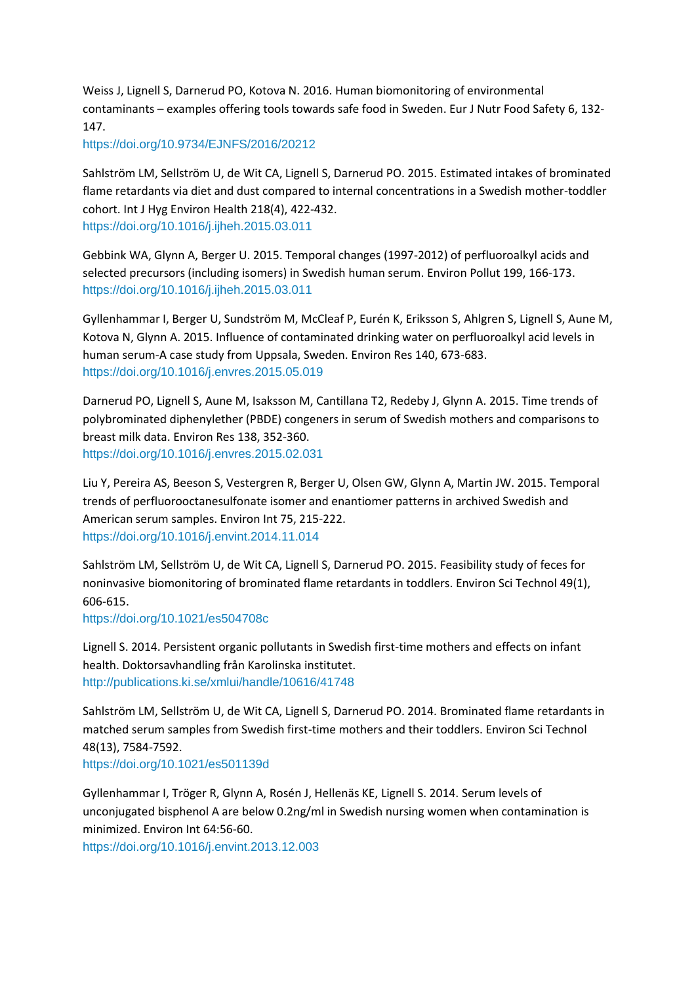Weiss J, Lignell S, Darnerud PO, Kotova N. 2016. Human biomonitoring of environmental contaminants – examples offering tools towards safe food in Sweden. Eur J Nutr Food Safety 6, 132- 147.

https://doi.org/10.9734/EJNFS/2016/20212

Sahlström LM, Sellström U, de Wit CA, Lignell S, Darnerud PO. 2015. Estimated intakes of brominated flame retardants via diet and dust compared to internal concentrations in a Swedish mother-toddler cohort. Int J Hyg Environ Health 218(4), 422-432. <https://doi.org/10.1016/j.ijheh.2015.03.011>

Gebbink WA, Glynn A, Berger U. 2015. Temporal changes (1997-2012) of perfluoroalkyl acids and selected precursors (including isomers) in Swedish human serum. Environ Pollut 199, 166-173. <https://doi.org/10.1016/j.ijheh.2015.03.011>

Gyllenhammar I, Berger U, Sundström M, McCleaf P, Eurén K, Eriksson S, Ahlgren S, Lignell S, Aune M, Kotova N, Glynn A. 2015. Influence of contaminated drinking water on perfluoroalkyl acid levels in human serum-A case study from Uppsala, Sweden. Environ Res 140, 673-683. <https://doi.org/10.1016/j.envres.2015.05.019>

Darnerud PO, Lignell S, Aune M, Isaksson M, Cantillana T2, Redeby J, Glynn A. 2015. Time trends of polybrominated diphenylether (PBDE) congeners in serum of Swedish mothers and comparisons to breast milk data. Environ Res 138, 352-360. <https://doi.org/10.1016/j.envres.2015.02.031>

Liu Y, Pereira AS, Beeson S, Vestergren R, Berger U, Olsen GW, Glynn A, Martin JW. 2015. Temporal trends of perfluorooctanesulfonate isomer and enantiomer patterns in archived Swedish and American serum samples. Environ Int 75, 215-222. <https://doi.org/10.1016/j.envint.2014.11.014>

Sahlström LM, Sellström U, de Wit CA, Lignell S, Darnerud PO. 2015. Feasibility study of feces for noninvasive biomonitoring of brominated flame retardants in toddlers. Environ Sci Technol 49(1), 606-615.

<https://doi.org/10.1021/es504708c>

Lignell S. 2014. Persistent organic pollutants in Swedish first-time mothers and effects on infant health. Doktorsavhandling från Karolinska institutet. <http://publications.ki.se/xmlui/handle/10616/41748>

Sahlström LM, Sellström U, de Wit CA, Lignell S, Darnerud PO. 2014. Brominated flame retardants in matched serum samples from Swedish first-time mothers and their toddlers. Environ Sci Technol 48(13), 7584-7592.

<https://doi.org/10.1021/es501139d>

Gyllenhammar I, Tröger R, Glynn A, Rosén J, Hellenäs KE, Lignell S. 2014. Serum levels of unconjugated bisphenol A are below 0.2ng/ml in Swedish nursing women when contamination is minimized. Environ Int 64:56-60.

<https://doi.org/10.1016/j.envint.2013.12.003>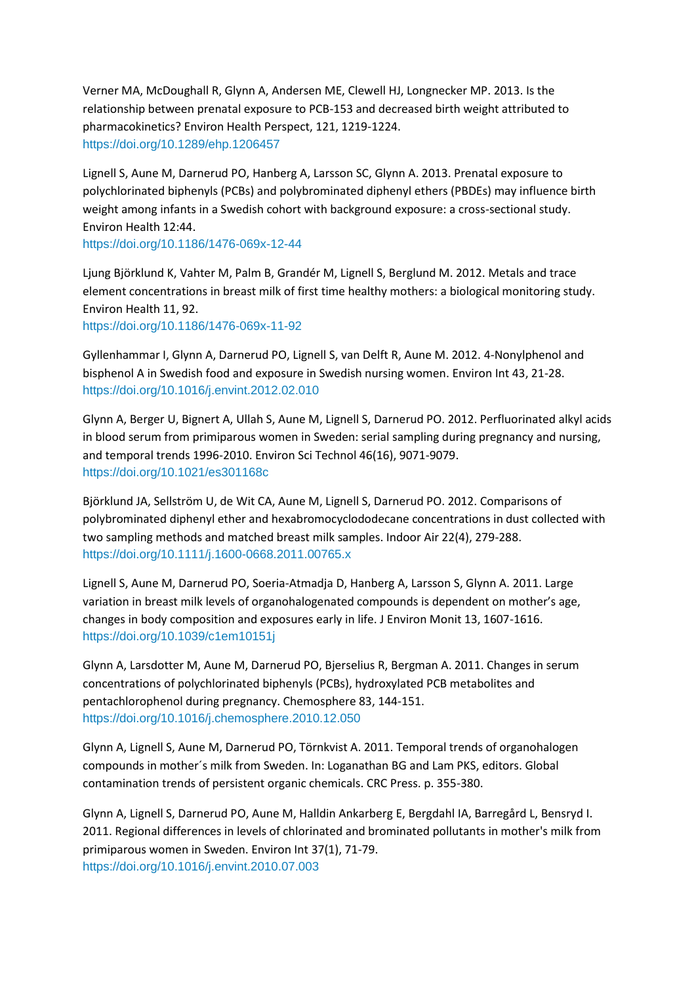Verner MA, McDoughall R, Glynn A, Andersen ME, Clewell HJ, Longnecker MP. 2013. Is the relationship between prenatal exposure to PCB-153 and decreased birth weight attributed to pharmacokinetics? Environ Health Perspect, 121, 1219-1224. <https://doi.org/10.1289/ehp.1206457>

Lignell S, Aune M, Darnerud PO, Hanberg A, Larsson SC, Glynn A. 2013. Prenatal exposure to polychlorinated biphenyls (PCBs) and polybrominated diphenyl ethers (PBDEs) may influence birth weight among infants in a Swedish cohort with background exposure: a cross-sectional study. Environ Health 12:44.

<https://doi.org/10.1186/1476-069x-12-44>

Ljung Björklund K, Vahter M, Palm B, Grandér M, Lignell S, Berglund M. 2012. Metals and trace element concentrations in breast milk of first time healthy mothers: a biological monitoring study. Environ Health 11, 92.

<https://doi.org/10.1186/1476-069x-11-92>

Gyllenhammar I, Glynn A, Darnerud PO, Lignell S, van Delft R, Aune M. 2012. 4-Nonylphenol and bisphenol A in Swedish food and exposure in Swedish nursing women. Environ Int 43, 21-28. <https://doi.org/10.1016/j.envint.2012.02.010>

Glynn A, Berger U, Bignert A, Ullah S, Aune M, Lignell S, Darnerud PO. 2012. Perfluorinated alkyl acids in blood serum from primiparous women in Sweden: serial sampling during pregnancy and nursing, and temporal trends 1996-2010. Environ Sci Technol 46(16), 9071-9079. <https://doi.org/10.1021/es301168c>

Björklund JA, Sellström U, de Wit CA, Aune M, Lignell S, Darnerud PO. 2012. Comparisons of polybrominated diphenyl ether and hexabromocyclododecane concentrations in dust collected with two sampling methods and matched breast milk samples. Indoor Air 22(4), 279-288. <https://doi.org/10.1111/j.1600-0668.2011.00765.x>

Lignell S, Aune M, Darnerud PO, Soeria-Atmadja D, Hanberg A, Larsson S, Glynn A. 2011. Large variation in breast milk levels of organohalogenated compounds is dependent on mother's age, changes in body composition and exposures early in life. J Environ Monit 13, 1607-1616. <https://doi.org/10.1039/c1em10151j>

Glynn A, Larsdotter M, Aune M, Darnerud PO, Bjerselius R, Bergman A. 2011. Changes in serum concentrations of polychlorinated biphenyls (PCBs), hydroxylated PCB metabolites and pentachlorophenol during pregnancy. Chemosphere 83, 144-151. <https://doi.org/10.1016/j.chemosphere.2010.12.050>

Glynn A, Lignell S, Aune M, Darnerud PO, Törnkvist A. 2011. Temporal trends of organohalogen compounds in mother´s milk from Sweden. In: Loganathan BG and Lam PKS, editors. Global contamination trends of persistent organic chemicals. CRC Press. p. 355-380.

Glynn A, Lignell S, Darnerud PO, Aune M, Halldin Ankarberg E, Bergdahl IA, Barregård L, Bensryd I. 2011. Regional differences in levels of chlorinated and brominated pollutants in mother's milk from primiparous women in Sweden. Environ Int 37(1), 71-79. <https://doi.org/10.1016/j.envint.2010.07.003>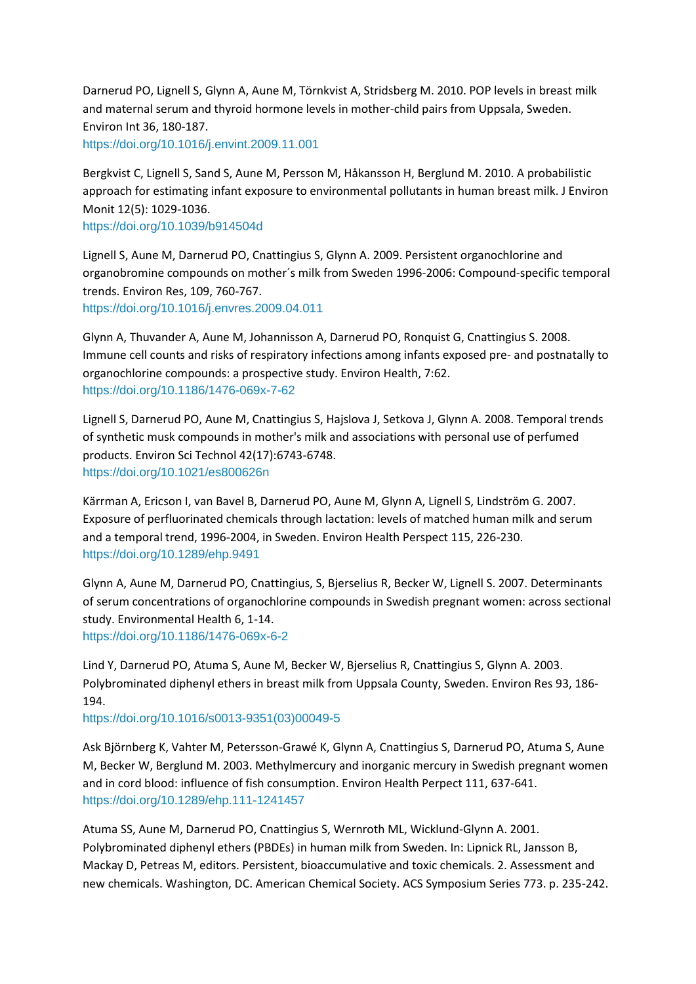Darnerud PO, Lignell S, Glynn A, Aune M, Törnkvist A, Stridsberg M. 2010. POP levels in breast milk and maternal serum and thyroid hormone levels in mother-child pairs from Uppsala, Sweden. Environ Int 36, 180-187. <https://doi.org/10.1016/j.envint.2009.11.001>

Bergkvist C, Lignell S, Sand S, Aune M, Persson M, Håkansson H, Berglund M. 2010. A probabilistic approach for estimating infant exposure to environmental pollutants in human breast milk. J Environ Monit 12(5): 1029-1036.

<https://doi.org/10.1039/b914504d>

Lignell S, Aune M, Darnerud PO, Cnattingius S, Glynn A. 2009. Persistent organochlorine and organobromine compounds on mother´s milk from Sweden 1996-2006: Compound-specific temporal trends. Environ Res, 109, 760-767. <https://doi.org/10.1016/j.envres.2009.04.011>

Glynn A, Thuvander A, Aune M, Johannisson A, Darnerud PO, Ronquist G, Cnattingius S. 2008. Immune cell counts and risks of respiratory infections among infants exposed pre- and postnatally to organochlorine compounds: a prospective study. Environ Health, 7:62. <https://doi.org/10.1186/1476-069x-7-62>

Lignell S, Darnerud PO, Aune M, Cnattingius S, Hajslova J, Setkova J, Glynn A. 2008. Temporal trends of synthetic musk compounds in mother's milk and associations with personal use of perfumed products. Environ Sci Technol 42(17):6743-6748. <https://doi.org/10.1021/es800626n>

Kärrman A, Ericson I, van Bavel B, Darnerud PO, Aune M, Glynn A, Lignell S, Lindström G. 2007. Exposure of perfluorinated chemicals through lactation: levels of matched human milk and serum and a temporal trend, 1996-2004, in Sweden. Environ Health Perspect 115, 226-230. <https://doi.org/10.1289/ehp.9491>

Glynn A, Aune M, Darnerud PO, Cnattingius, S, Bjerselius R, Becker W, Lignell S. 2007. Determinants of serum concentrations of organochlorine compounds in Swedish pregnant women: across sectional study. Environmental Health 6, 1-14. <https://doi.org/10.1186/1476-069x-6-2>

Lind Y, Darnerud PO, Atuma S, Aune M, Becker W, Bjerselius R, Cnattingius S, Glynn A. 2003. Polybrominated diphenyl ethers in breast milk from Uppsala County, Sweden. Environ Res 93, 186- 194.

[https://doi.org/10.1016/s0013-9351\(03\)00049-5](https://doi.org/10.1016/s0013-9351(03)00049-5)

Ask Björnberg K, Vahter M, Petersson-Grawé K, Glynn A, Cnattingius S, Darnerud PO, Atuma S, Aune M, Becker W, Berglund M. 2003. Methylmercury and inorganic mercury in Swedish pregnant women and in cord blood: influence of fish consumption. Environ Health Perpect 111, 637-641. <https://doi.org/10.1289/ehp.111-1241457>

Atuma SS, Aune M, Darnerud PO, Cnattingius S, Wernroth ML, Wicklund-Glynn A. 2001. Polybrominated diphenyl ethers (PBDEs) in human milk from Sweden. In: Lipnick RL, Jansson B, Mackay D, Petreas M, editors. Persistent, bioaccumulative and toxic chemicals. 2. Assessment and new chemicals. Washington, DC. American Chemical Society. ACS Symposium Series 773. p. 235-242.